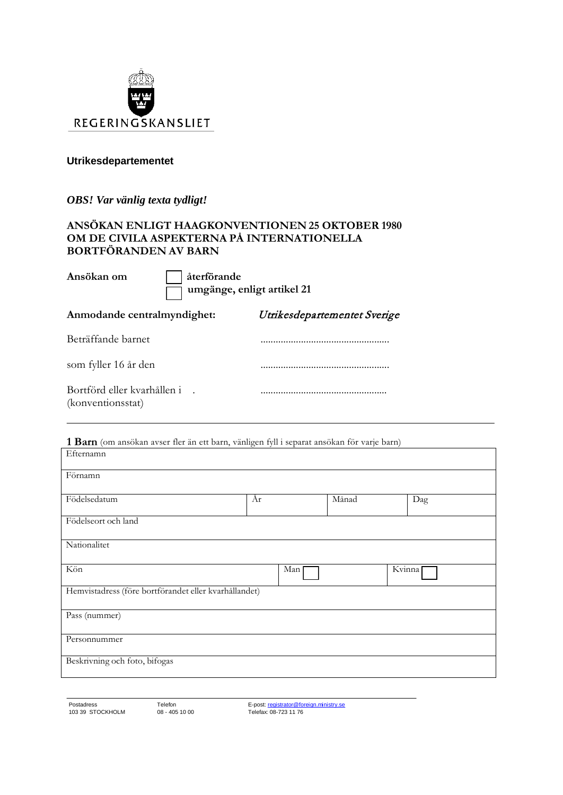

#### **Utrikesdepartementet**

*OBS! Var vänlig texta tydligt!*

#### **ANSÖKAN ENLIGT HAAGKONVENTIONEN 25 OKTOBER 1980 OM DE CIVILA ASPEKTERNA PÅ INTERNATIONELLA BORTFÖRANDEN AV BARN**

**Ansökan om återförande**

 **umgänge, enligt artikel 21**

**Anmodande centralmyndighet:** Utrikesdepartementet Sverige

| Beträffande barnet                               |  |
|--------------------------------------------------|--|
| som fyller 16 år den                             |  |
| Bortförd eller kvarhållen i<br>(konventionsstat) |  |

**1 Barn** (om ansökan avser fler än ett barn, vänligen fyll i separat ansökan för varje barn)

| Efternamn                                             |     |       |        |
|-------------------------------------------------------|-----|-------|--------|
| Förnamn                                               |     |       |        |
| Födelsedatum                                          | År  | Månad | Dag    |
| Födelseort och land                                   |     |       |        |
| Nationalitet                                          |     |       |        |
| Kön                                                   | Man |       | Kvinna |
| Hemvistadress (före bortförandet eller kvarhållandet) |     |       |        |
| Pass (nummer)                                         |     |       |        |
| Personnummer                                          |     |       |        |
| Beskrivning och foto, bifogas                         |     |       |        |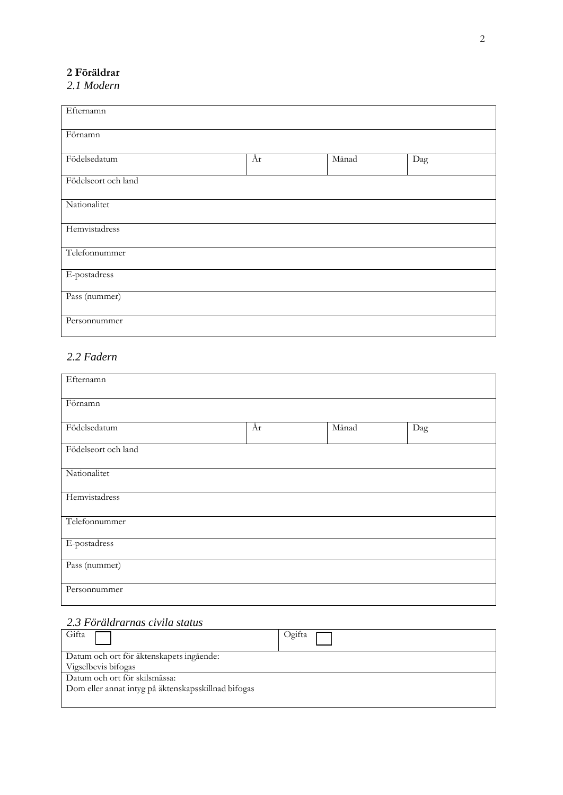## **2 Föräldrar**

*2.1 Modern*

| Efternamn           |    |       |     |
|---------------------|----|-------|-----|
| Förnamn             |    |       |     |
| Födelsedatum        | År | Månad | Dag |
| Födelseort och land |    |       |     |
| Nationalitet        |    |       |     |
| Hemvistadress       |    |       |     |
| Telefonnummer       |    |       |     |
| E-postadress        |    |       |     |
| Pass (nummer)       |    |       |     |
| Personnummer        |    |       |     |

## *2.2 Fadern*

| Efternamn           |    |       |     |
|---------------------|----|-------|-----|
| Förnamn             |    |       |     |
| Födelsedatum        | År | Månad | Dag |
| Födelseort och land |    |       |     |
| Nationalitet        |    |       |     |
| Hemvistadress       |    |       |     |
| Telefonnummer       |    |       |     |
| E-postadress        |    |       |     |
| Pass (nummer)       |    |       |     |
| Personnummer        |    |       |     |

# *2.3 Föräldrarnas civila status*

| Gifta                                               | Ogifta |
|-----------------------------------------------------|--------|
| Datum och ort för äktenskapets ingående:            |        |
| Vigselbevis bifogas                                 |        |
| Datum och ort för skilsmässa:                       |        |
| Dom eller annat intyg på äktenskapsskillnad bifogas |        |
|                                                     |        |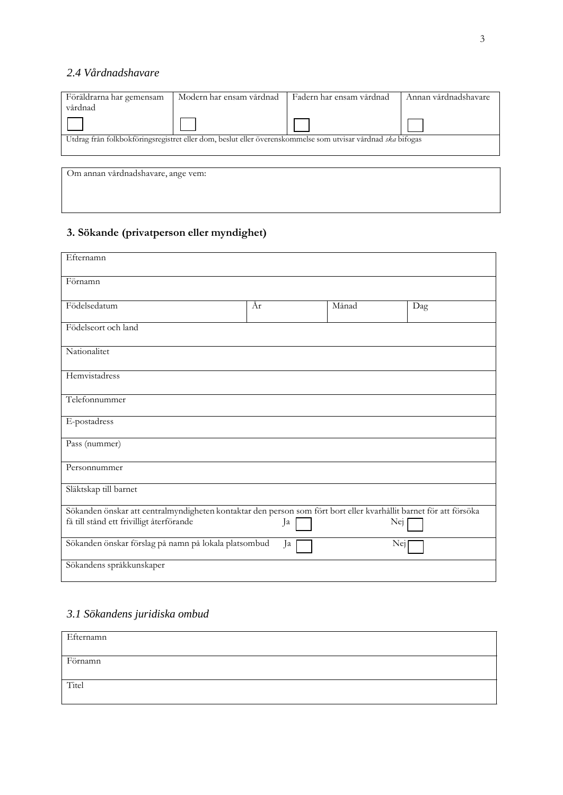### *2.4 Vårdnadshavare*

| Föräldrarna har gemensam           | Modern har ensam vårdnad                                                                                    | Fadern har ensam vårdnad | Annan vårdnadshavare |
|------------------------------------|-------------------------------------------------------------------------------------------------------------|--------------------------|----------------------|
| vårdnad                            |                                                                                                             |                          |                      |
|                                    |                                                                                                             |                          |                      |
|                                    | Utdrag från folkbokföringsregistret eller dom, beslut eller överenskommelse som utvisar vårdnad ska bifogas |                          |                      |
|                                    |                                                                                                             |                          |                      |
| Om annan vårdnadshavare, ange vem: |                                                                                                             |                          |                      |

# **3. Sökande (privatperson eller myndighet)**

| Efternamn                                                                                                         |    |       |     |
|-------------------------------------------------------------------------------------------------------------------|----|-------|-----|
| Förnamn                                                                                                           |    |       |     |
| Födelsedatum                                                                                                      | År | Månad | Dag |
| Födelseort och land                                                                                               |    |       |     |
| Nationalitet                                                                                                      |    |       |     |
| Hemvistadress                                                                                                     |    |       |     |
| Telefonnummer                                                                                                     |    |       |     |
| E-postadress                                                                                                      |    |       |     |
| Pass (nummer)                                                                                                     |    |       |     |
| Personnummer                                                                                                      |    |       |     |
| Släktskap till barnet                                                                                             |    |       |     |
| Sökanden önskar att centralmyndigheten kontaktar den person som fört bort eller kvarhållit barnet för att försöka |    |       |     |
| få till stånd ett frivilligt återförande                                                                          | Ja | Nei   |     |
| Sökanden önskar förslag på namn på lokala platsombud                                                              | Ja | Nej   |     |
| Sökandens språkkunskaper                                                                                          |    |       |     |

# *3.1 Sökandens juridiska ombud*

| Efternamn |  |
|-----------|--|
| Förnamn   |  |
|           |  |
| Titel     |  |
|           |  |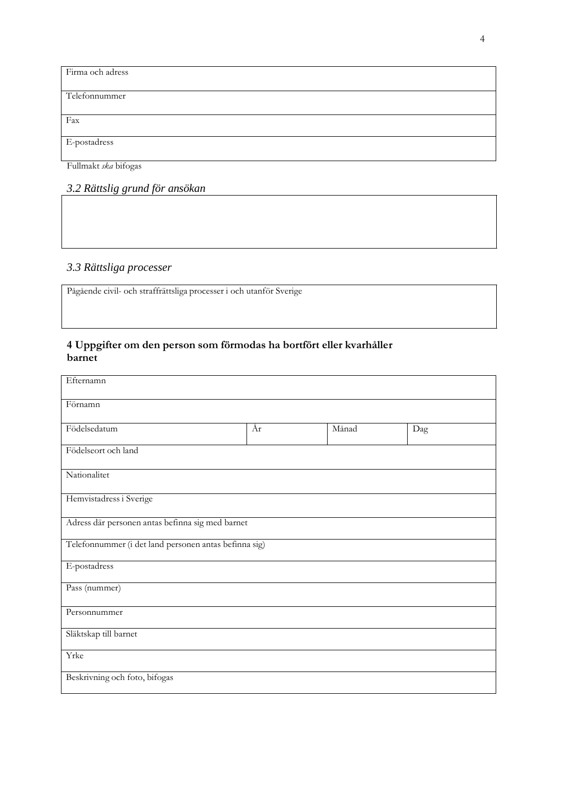| Firma och adress |
|------------------|
|                  |
| Telefonnummer    |
|                  |
| Fax              |
|                  |
| E-postadress     |
|                  |

Fullmakt *ska* bifogas

# *3.2 Rättslig grund för ansökan*

# *3.3 Rättsliga processer*

Pågående civil- och straffrättsliga processer i och utanför Sverige

#### **4 Uppgifter om den person som förmodas ha bortfört eller kvarhåller barnet**

| Efternamn                                             |    |       |     |
|-------------------------------------------------------|----|-------|-----|
| Förnamn                                               |    |       |     |
| Födelsedatum                                          | År | Månad | Dag |
| Födelseort och land                                   |    |       |     |
| Nationalitet                                          |    |       |     |
| Hemvistadress i Sverige                               |    |       |     |
| Adress där personen antas befinna sig med barnet      |    |       |     |
| Telefonnummer (i det land personen antas befinna sig) |    |       |     |
| E-postadress                                          |    |       |     |
| Pass (nummer)                                         |    |       |     |
| Personnummer                                          |    |       |     |
| Släktskap till barnet                                 |    |       |     |
| Yrke                                                  |    |       |     |
| Beskrivning och foto, bifogas                         |    |       |     |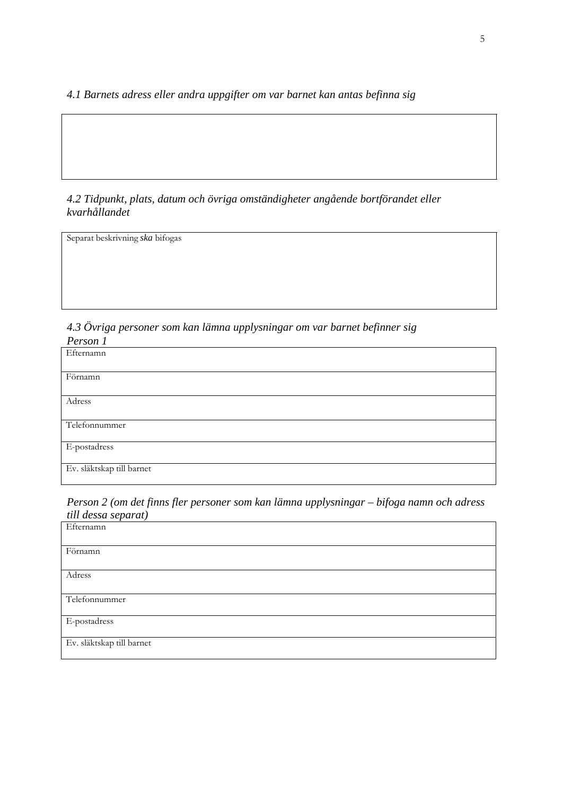*4.1 Barnets adress eller andra uppgifter om var barnet kan antas befinna sig*

## *4.2 Tidpunkt, plats, datum och övriga omständigheter angående bortförandet eller kvarhållandet*

Separat beskrivning *ska* bifogas

*4.3 Övriga personer som kan lämna upplysningar om var barnet befinner sig Person 1*

| - - - - - - - -           |
|---------------------------|
| Efternamn                 |
| Förnamn                   |
| Adress                    |
| Telefonnummer             |
| E-postadress              |
| Ev. släktskap till barnet |

*Person 2 (om det finns fler personer som kan lämna upplysningar – bifoga namn och adress till dessa separat)*

| Efternamn                 |
|---------------------------|
| Förnamn                   |
| Adress                    |
| Telefonnummer             |
| E-postadress              |
| Ev. släktskap till barnet |

 $\overline{1}$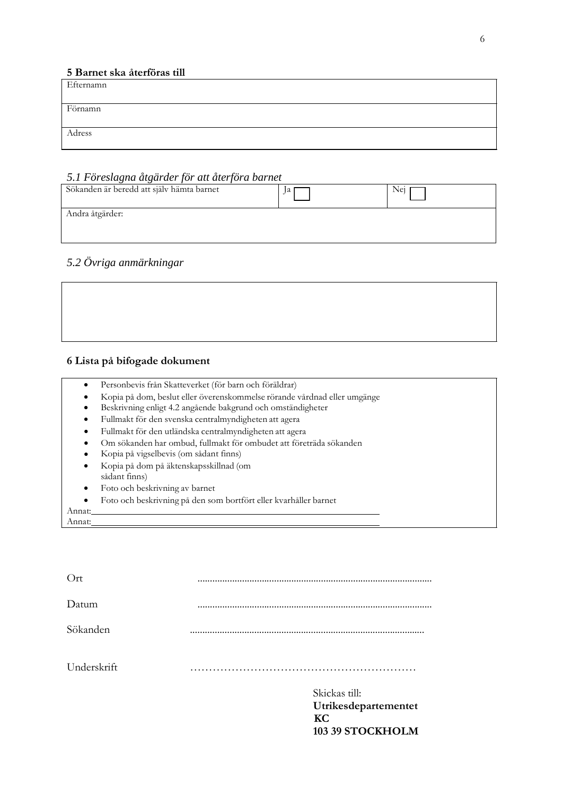#### **5 Barnet ska återföras till**

| Efternamn |  |
|-----------|--|
|           |  |
| Förnamn   |  |
|           |  |
| Adress    |  |
|           |  |

#### *5.1 Föreslagna åtgärder för att återföra barnet*

| Sökanden är beredd att själv hämta barnet | ľа | Nei |
|-------------------------------------------|----|-----|
| Andra åtgärder:                           |    |     |
|                                           |    |     |

## *5.2 Övriga anmärkningar*



#### **6 Lista på bifogade dokument**

| ista på bifogade dokument.                                                                                  |
|-------------------------------------------------------------------------------------------------------------|
| $\sim$ Dependence $f_{\mu}$ of $\Omega$ and $\Omega$ and $f_{\mu}$ and $f_{\mu}$ and $f_{\mu}$ and $\Omega$ |

- Personbevis från Skatteverket (för barn och föräldrar)
- Kopia på dom, beslut eller överenskommelse rörande vårdnad eller umgänge
- Beskrivning enligt 4.2 angående bakgrund och omständigheter
- Fullmakt för den svenska centralmyndigheten att agera
- Fullmakt för den utländska centralmyndigheten att agera
- Om sökanden har ombud, fullmakt för ombudet att företräda sökanden
- Kopia på vigselbevis (om sådant finns)
- Kopia på dom på äktenskapsskillnad (om sådant finns)
- Foto och beskrivning av barnet
- Foto och beskrivning på den som bortfört eller kvarhåller barnet

Annat: Annat:

| Skickas till:<br>Utrikesdepartementet<br>KC<br>103 39 STOCKHOLM |
|-----------------------------------------------------------------|
|                                                                 |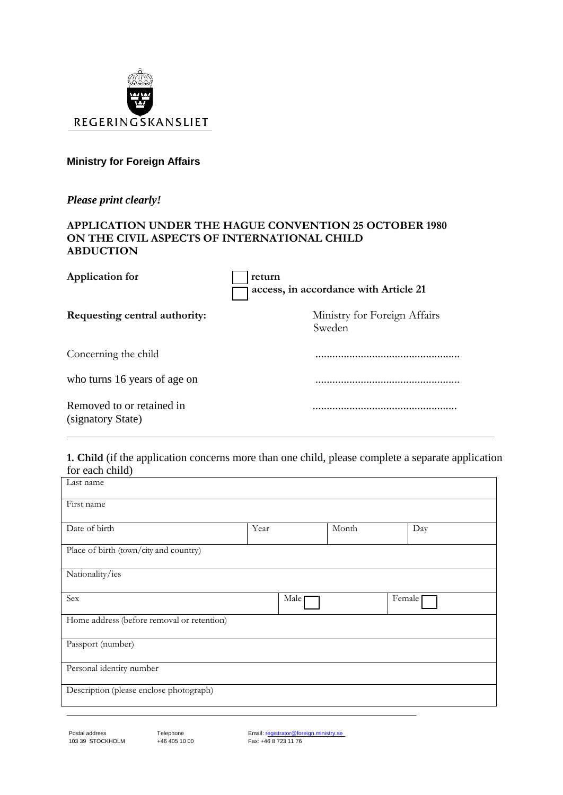

# **Ministry for Foreign Affairs**

*Please print clearly!*

#### **APPLICATION UNDER THE HAGUE CONVENTION 25 OCTOBER 1980 ON THE CIVIL ASPECTS OF INTERNATIONAL CHILD ABDUCTION**

| <b>Application for</b>                         | return<br>access, in accordance with Article 21 |  |  |
|------------------------------------------------|-------------------------------------------------|--|--|
| Requesting central authority:                  | Ministry for Foreign Affairs<br>Sweden          |  |  |
| Concerning the child                           |                                                 |  |  |
| who turns 16 years of age on                   |                                                 |  |  |
| Removed to or retained in<br>(signatory State) |                                                 |  |  |

#### **1. Child** (if the application concerns more than one child, please complete a separate application for each child)

| Last name                                  |                   |       |        |
|--------------------------------------------|-------------------|-------|--------|
| First name                                 |                   |       |        |
| Date of birth                              | Year              | Month | Day    |
| Place of birth (town/city and country)     |                   |       |        |
| Nationality/ies                            |                   |       |        |
| Sex                                        | Male <sub>[</sub> |       | Female |
| Home address (before removal or retention) |                   |       |        |
| Passport (number)                          |                   |       |        |
| Personal identity number                   |                   |       |        |
| Description (please enclose photograph)    |                   |       |        |

Email: registrator@foreign.ministry.se Fax: +46 8 723 11 76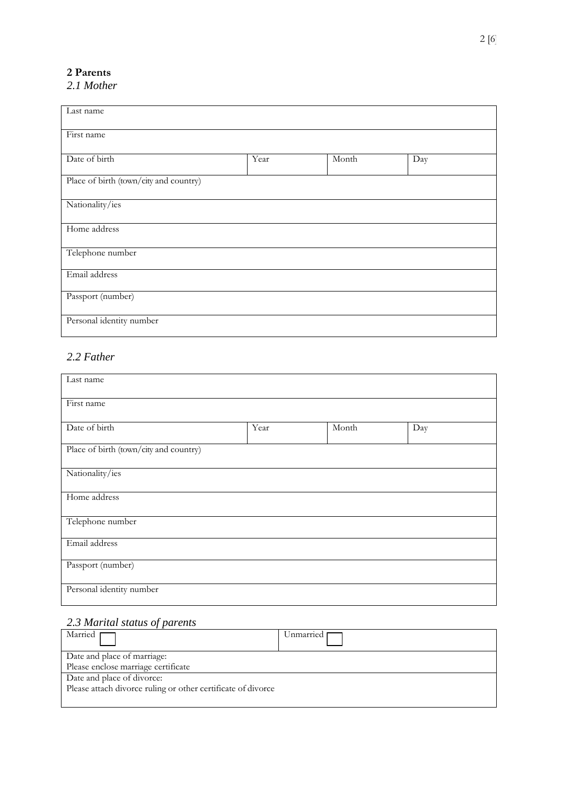# **2 Parents**

# *2.1 Mother*

| Last name                              |      |       |     |
|----------------------------------------|------|-------|-----|
| First name                             |      |       |     |
| Date of birth                          | Year | Month | Day |
| Place of birth (town/city and country) |      |       |     |
| Nationality/ies                        |      |       |     |
| Home address                           |      |       |     |
| Telephone number                       |      |       |     |
| Email address                          |      |       |     |
| Passport (number)                      |      |       |     |
| Personal identity number               |      |       |     |

# *2.2 Father*

| Last name                              |      |       |     |
|----------------------------------------|------|-------|-----|
| First name                             |      |       |     |
| Date of birth                          | Year | Month | Day |
| Place of birth (town/city and country) |      |       |     |
| Nationality/ies                        |      |       |     |
| Home address                           |      |       |     |
| Telephone number                       |      |       |     |
| Email address                          |      |       |     |
| Passport (number)                      |      |       |     |
| Personal identity number               |      |       |     |

# *2.3 Marital status of parents*

| Married $\Box$                                               | Unmarried I |
|--------------------------------------------------------------|-------------|
| Date and place of marriage:                                  |             |
| Please enclose marriage certificate                          |             |
| Date and place of divorce:                                   |             |
| Please attach divorce ruling or other certificate of divorce |             |
|                                                              |             |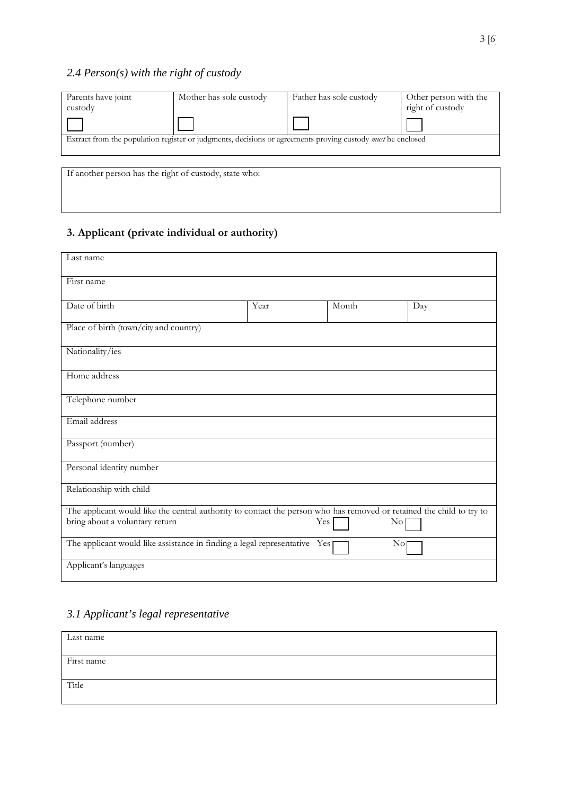# *2.4 Person(s) with the right of custody*

| Parents have joint                                     | Mother has sole custody                                                                                            | Father has sole custody | Other person with the |
|--------------------------------------------------------|--------------------------------------------------------------------------------------------------------------------|-------------------------|-----------------------|
| custody                                                |                                                                                                                    |                         | right of custody      |
|                                                        |                                                                                                                    |                         |                       |
|                                                        | Extract from the population register or judgments, decisions or agreements proving custody <i>must</i> be enclosed |                         |                       |
|                                                        |                                                                                                                    |                         |                       |
| If another person has the right of custody, state who: |                                                                                                                    |                         |                       |

# **3. Applicant (private individual or authority)**

| Last name                                                                                                                                              |      |       |                |
|--------------------------------------------------------------------------------------------------------------------------------------------------------|------|-------|----------------|
| First name                                                                                                                                             |      |       |                |
| Date of birth                                                                                                                                          | Year | Month | Day            |
| Place of birth (town/city and country)                                                                                                                 |      |       |                |
| Nationality/ies                                                                                                                                        |      |       |                |
| Home address                                                                                                                                           |      |       |                |
| Telephone number                                                                                                                                       |      |       |                |
| Email address                                                                                                                                          |      |       |                |
| Passport (number)                                                                                                                                      |      |       |                |
| Personal identity number                                                                                                                               |      |       |                |
| Relationship with child                                                                                                                                |      |       |                |
| The applicant would like the central authority to contact the person who has removed or retained the child to try to<br>bring about a voluntary return |      | Yes   | $\rm No$       |
| The applicant would like assistance in finding a legal representative Yes                                                                              |      |       | N <sub>O</sub> |
| Applicant's languages                                                                                                                                  |      |       |                |

# *3.1 Applicant's legal representative*

| Last name  |  |  |
|------------|--|--|
|            |  |  |
| First name |  |  |
|            |  |  |
|            |  |  |
| Title      |  |  |
|            |  |  |
|            |  |  |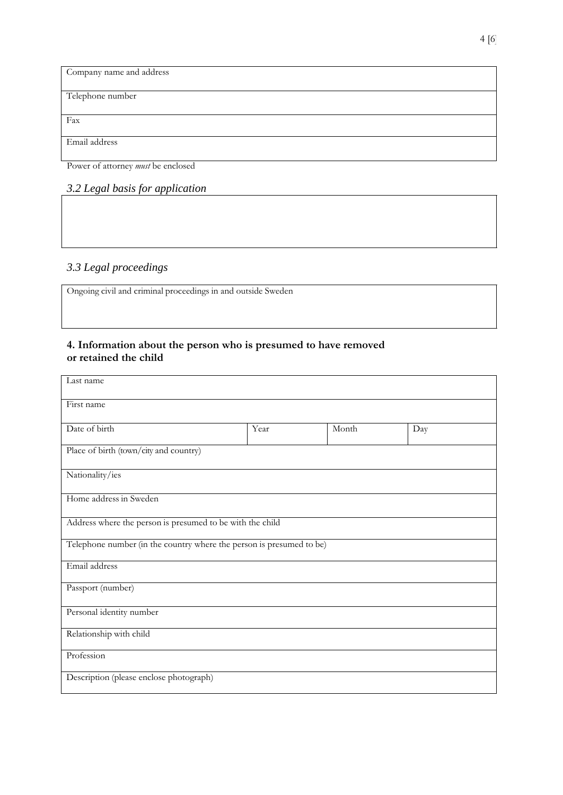| Company name and address |
|--------------------------|
|                          |
| Telephone number         |
|                          |
| Fax                      |
|                          |
| Email address            |

Power of attorney *must* be enclosed

# *3.2 Legal basis for application*

# *3.3 Legal proceedings*

Ongoing civil and criminal proceedings in and outside Sweden

#### **4. Information about the person who is presumed to have removed or retained the child**

| Last name                                                            |      |       |     |  |
|----------------------------------------------------------------------|------|-------|-----|--|
| First name                                                           |      |       |     |  |
| Date of birth                                                        | Year | Month | Day |  |
| Place of birth (town/city and country)                               |      |       |     |  |
| Nationality/ies                                                      |      |       |     |  |
| Home address in Sweden                                               |      |       |     |  |
| Address where the person is presumed to be with the child            |      |       |     |  |
| Telephone number (in the country where the person is presumed to be) |      |       |     |  |
| Email address                                                        |      |       |     |  |
| Passport (number)                                                    |      |       |     |  |
| Personal identity number                                             |      |       |     |  |
| Relationship with child                                              |      |       |     |  |
| Profession                                                           |      |       |     |  |
| Description (please enclose photograph)                              |      |       |     |  |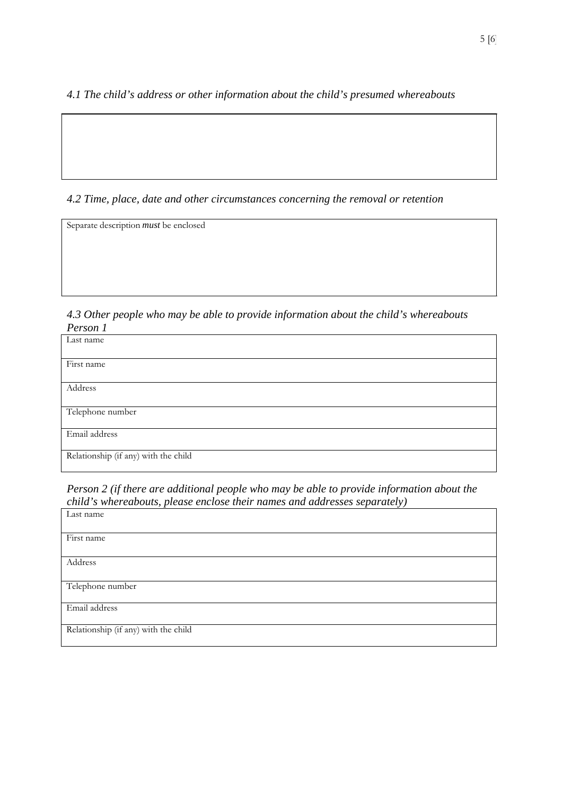*4.1 The child's address or other information about the child's presumed whereabouts*

# *4.2 Time, place, date and other circumstances concerning the removal or retention*

Separate description *must* be enclosed

*4.3 Other people who may be able to provide information about the child's whereabouts Person 1*

| Last name                            |
|--------------------------------------|
|                                      |
| First name                           |
|                                      |
| Address                              |
|                                      |
| Telephone number                     |
|                                      |
| Email address                        |
|                                      |
| Relationship (if any) with the child |
|                                      |

*Person 2 (if there are additional people who may be able to provide information about the child's whereabouts, please enclose their names and addresses separately)* Last name

| Last name<br>First name<br>Address<br>Telephone number<br>Email address | $\sim$ $\blacksquare$ | $\overline{ }$<br>$\checkmark$ . |
|-------------------------------------------------------------------------|-----------------------|----------------------------------|
|                                                                         |                       |                                  |
|                                                                         |                       |                                  |
|                                                                         |                       |                                  |
|                                                                         |                       |                                  |
|                                                                         |                       |                                  |
|                                                                         |                       |                                  |
|                                                                         |                       |                                  |
|                                                                         |                       |                                  |
|                                                                         |                       |                                  |
|                                                                         |                       |                                  |
|                                                                         |                       |                                  |
|                                                                         |                       |                                  |
|                                                                         |                       |                                  |
|                                                                         |                       |                                  |
|                                                                         |                       |                                  |
|                                                                         |                       |                                  |
|                                                                         |                       |                                  |
|                                                                         |                       |                                  |
|                                                                         |                       |                                  |
|                                                                         |                       |                                  |
| Relationship (if any) with the child                                    |                       |                                  |
|                                                                         |                       |                                  |
|                                                                         |                       |                                  |
|                                                                         |                       |                                  |